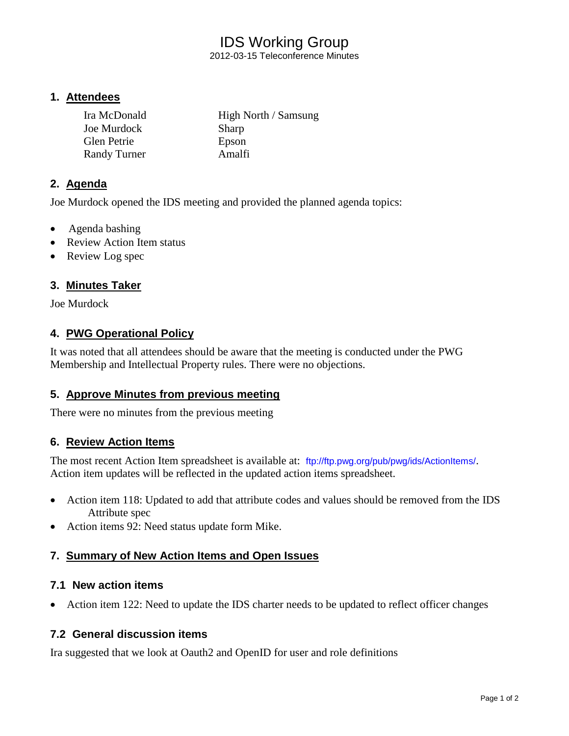# IDS Working Group

2012-03-15 Teleconference Minutes

#### **1. Attendees**

| Ira McDonald        | High North / Samsung |
|---------------------|----------------------|
| Joe Murdock         | <b>Sharp</b>         |
| <b>Glen Petrie</b>  | Epson                |
| <b>Randy Turner</b> | Amalfi               |

## **2. Agenda**

Joe Murdock opened the IDS meeting and provided the planned agenda topics:

- Agenda bashing
- Review Action Item status
- Review Log spec

## **3. Minutes Taker**

Joe Murdock

#### **4. PWG Operational Policy**

It was noted that all attendees should be aware that the meeting is conducted under the PWG Membership and Intellectual Property rules. There were no objections.

#### **5. Approve Minutes from previous meeting**

There were no minutes from the previous meeting

#### **6. Review Action Items**

The most recent Action Item spreadsheet is available at: <ftp://ftp.pwg.org/pub/pwg/ids/ActionItems/>. Action item updates will be reflected in the updated action items spreadsheet.

- Action item 118: Updated to add that attribute codes and values should be removed from the IDS Attribute spec
- Action items 92: Need status update form Mike.

#### **7. Summary of New Action Items and Open Issues**

#### **7.1 New action items**

• Action item 122: Need to update the IDS charter needs to be updated to reflect officer changes

#### **7.2 General discussion items**

Ira suggested that we look at Oauth2 and OpenID for user and role definitions